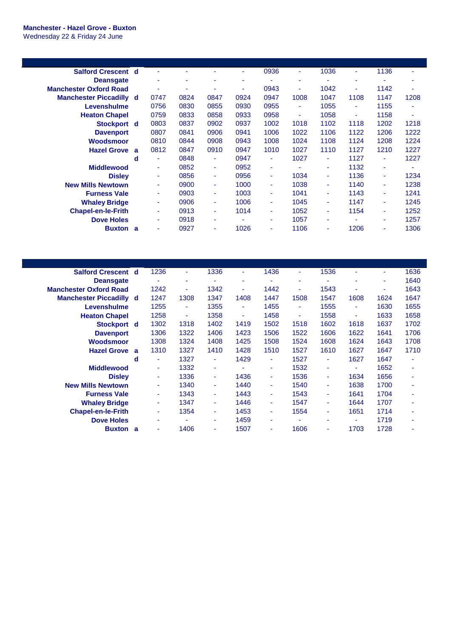## **Manchester - Hazel Grove - Buxton** Wednesday 22 & Friday 24 June

| <b>Salford Crescent d</b>      |   | ٠    |      |                |      | 0936 | ٠    | 1036 | ۰      | 1136 | ۰    |
|--------------------------------|---|------|------|----------------|------|------|------|------|--------|------|------|
| <b>Deansgate</b>               |   | ٠    | ۰    | ٠              |      |      | ۰    | ۰    | ٠      | ٠    | ۰    |
| <b>Manchester Oxford Road</b>  |   | ٠    | ۰    | ٠              | ٠    | 0943 | ٠    | 1042 | ٠      | 1142 | ۰    |
| <b>Manchester Piccadilly d</b> |   | 0747 | 0824 | 0847           | 0924 | 0947 | 1008 | 1047 | 1108   | 1147 | 1208 |
| Levenshulme                    |   | 0756 | 0830 | 0855           | 0930 | 0955 | ٠    | 1055 | $\sim$ | 1155 | ٠    |
| <b>Heaton Chapel</b>           |   | 0759 | 0833 | 0858           | 0933 | 0958 | ٠    | 1058 | ٠      | 1158 | ٠    |
| Stockport d                    |   | 0803 | 0837 | 0902           | 0937 | 1002 | 1018 | 1102 | 1118   | 1202 | 1218 |
| <b>Davenport</b>               |   | 0807 | 0841 | 0906           | 0941 | 1006 | 1022 | 1106 | 1122   | 1206 | 1222 |
| <b>Woodsmoor</b>               |   | 0810 | 0844 | 0908           | 0943 | 1008 | 1024 | 1108 | 1124   | 1208 | 1224 |
| <b>Hazel Grove</b>             | a | 0812 | 0847 | 0910           | 0947 | 1010 | 1027 | 1110 | 1127   | 1210 | 1227 |
|                                | d | ٠    | 0848 | ٠              | 0947 | ٠    | 1027 | ۰    | 1127   | ۰    | 1227 |
| <b>Middlewood</b>              |   | ٠    | 0852 | $\blacksquare$ | 0952 | ٠    | ٠    | ٠    | 1132   | ٠    | ٠    |
| <b>Disley</b>                  |   | ۰    | 0856 | ٠              | 0956 | ٠    | 1034 | ٠    | 1136   | ٠    | 1234 |
| <b>New Mills Newtown</b>       |   | ÷    | 0900 | ٠              | 1000 | ٠    | 1038 | ٠    | 1140   | ٠    | 1238 |
| <b>Furness Vale</b>            |   | ۰    | 0903 | ٠              | 1003 | ٠    | 1041 | ٠    | 1143   | ٠    | 1241 |
| <b>Whaley Bridge</b>           |   | ÷    | 0906 | ٠              | 1006 | ٠    | 1045 | ٠    | 1147   | ٠    | 1245 |
| <b>Chapel-en-le-Frith</b>      |   | ۰    | 0913 | ٠              | 1014 | ٠    | 1052 | ٠    | 1154   | ٠    | 1252 |
| <b>Dove Holes</b>              |   | ۰    | 0918 | ٠              |      | ٠    | 1057 | ۰    |        | ۰    | 1257 |
| <b>Buxton</b>                  | a | ٠    | 0927 | ٠              | 1026 | ۰    | 1106 | ٠    | 1206   | ٠    | 1306 |
|                                |   |      |      |                |      |      |      |      |        |      |      |

| <b>Salford Crescent d</b>      | 1236 | ÷    | 1336 | ٠              | 1436           | ٠    | 1536 |      | ٠    | 1636 |
|--------------------------------|------|------|------|----------------|----------------|------|------|------|------|------|
|                                | ٠    | ٠    |      | ٠              |                | ۰    |      | ٠    | ۰    | 1640 |
|                                | 1242 | ٠    | 1342 | ۰              | 1442           | ٠    | 1543 |      | ۰    | 1643 |
| <b>Manchester Piccadilly d</b> | 1247 | 1308 | 1347 | 1408           | 1447           | 1508 | 1547 | 1608 | 1624 | 1647 |
|                                | 1255 | ٠    | 1355 | $\sim$         | 1455           | ٠    | 1555 | ٠    | 1630 | 1655 |
|                                | 1258 | ٠    | 1358 | $\blacksquare$ | 1458           | ٠    | 1558 | ٠    | 1633 | 1658 |
| Stockport d                    | 1302 | 1318 | 1402 | 1419           | 1502           | 1518 | 1602 | 1618 | 1637 | 1702 |
|                                | 1306 | 1322 | 1406 | 1423           | 1506           | 1522 | 1606 | 1622 | 1641 | 1706 |
|                                | 1308 | 1324 | 1408 | 1425           | 1508           | 1524 | 1608 | 1624 | 1643 | 1708 |
| <b>a</b>                       | 1310 | 1327 | 1410 | 1428           | 1510           | 1527 | 1610 | 1627 | 1647 | 1710 |
| d                              | ۰    | 1327 | ٠    | 1429           | $\blacksquare$ | 1527 | ٠    | 1627 | 1647 | ٠    |
|                                | ۰    | 1332 | ٠    | ٠              | ٠              | 1532 | ٠    | ۰    | 1652 | ٠    |
|                                | ۰    | 1336 | ٠    | 1436           | ۰              | 1536 | ٠    | 1634 | 1656 | ٠    |
|                                | ۰    | 1340 | ٠    | 1440           | ٠              | 1540 | ٠    | 1638 | 1700 | ٠    |
|                                | ۰    | 1343 | ٠    | 1443           | ٠              | 1543 | ٠    | 1641 | 1704 | ٠    |
|                                | ٠    | 1347 | ٠    | 1446           | ۰              | 1547 | ٠    | 1644 | 1707 | ٠    |
|                                | ٠    | 1354 | ٠    | 1453           | ٠              | 1554 | ÷    | 1651 | 1714 | ٠    |
|                                | ۰    |      | ٠    | 1459           | ۰              | ۰    | ٠    | ٠    | 1719 | ٠    |
| <b>Buxton</b> a                | ۰    | 1406 | ٠    | 1507           | ٠              | 1606 | ٠    | 1703 | 1728 | ٠    |
|                                |      |      |      |                |                |      |      |      |      |      |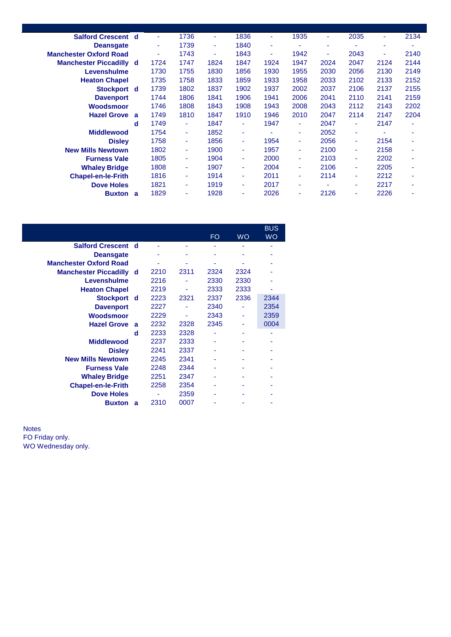| <b>Salford Crescent d</b>      |              | ٠    | 1736 | ٠    | 1836   | ٠    | 1935 | ٠    | 2035 | ٠    | 2134 |
|--------------------------------|--------------|------|------|------|--------|------|------|------|------|------|------|
| <b>Deansgate</b>               |              | ٠    | 1739 | ٠    | 1840   | ٠    |      | ٠    |      | ٠    |      |
| <b>Manchester Oxford Road</b>  |              | ۰    | 1743 | ٠    | 1843   | ٠    | 1942 | ٠    | 2043 | ٠    | 2140 |
| <b>Manchester Piccadilly d</b> |              | 1724 | 1747 | 1824 | 1847   | 1924 | 1947 | 2024 | 2047 | 2124 | 2144 |
| Levenshulme                    |              | 1730 | 1755 | 1830 | 1856   | 1930 | 1955 | 2030 | 2056 | 2130 | 2149 |
| <b>Heaton Chapel</b>           |              | 1735 | 1758 | 1833 | 1859   | 1933 | 1958 | 2033 | 2102 | 2133 | 2152 |
| Stockport d                    |              | 1739 | 1802 | 1837 | 1902   | 1937 | 2002 | 2037 | 2106 | 2137 | 2155 |
| <b>Davenport</b>               |              | 1744 | 1806 | 1841 | 1906   | 1941 | 2006 | 2041 | 2110 | 2141 | 2159 |
| Woodsmoor                      |              | 1746 | 1808 | 1843 | 1908   | 1943 | 2008 | 2043 | 2112 | 2143 | 2202 |
| <b>Hazel Grove</b>             | $\mathbf{a}$ | 1749 | 1810 | 1847 | 1910   | 1946 | 2010 | 2047 | 2114 | 2147 | 2204 |
|                                | d            | 1749 | ٠    | 1847 | ٠      | 1947 | ٠    | 2047 | ٠    | 2147 |      |
| <b>Middlewood</b>              |              | 1754 | ٠    | 1852 | ٠      |      | ٠    | 2052 | ۰    |      |      |
| <b>Disley</b>                  |              | 1758 | ٠    | 1856 | $\sim$ | 1954 | ٠    | 2056 |      | 2154 |      |
| <b>New Mills Newtown</b>       |              | 1802 | ٠    | 1900 | ٠      | 1957 | ٠    | 2100 |      | 2158 |      |
| <b>Furness Vale</b>            |              | 1805 | ٠    | 1904 | ٠      | 2000 | ٠    | 2103 |      | 2202 |      |
| <b>Whaley Bridge</b>           |              | 1808 | ٠    | 1907 | ٠      | 2004 | ٠    | 2106 |      | 2205 |      |
| <b>Chapel-en-le-Frith</b>      |              | 1816 | ٠    | 1914 | ٠      | 2011 | ٠    | 2114 |      | 2212 |      |
| <b>Dove Holes</b>              |              | 1821 | ٠    | 1919 | ٠      | 2017 | ٠    | ٠    | ٠    | 2217 | ۰    |
| <b>Buxton</b>                  | a            | 1829 | ۰    | 1928 | ٠      | 2026 | ۰    | 2126 |      | 2226 |      |
|                                |              |      |      |      |        |      |      |      |      |      |      |

|                                |   |      |      | FO.  | <b>WO</b> | <b>BUS</b><br><b>WO</b> |
|--------------------------------|---|------|------|------|-----------|-------------------------|
| <b>Salford Crescent d</b>      |   |      |      |      |           |                         |
| <b>Deansgate</b>               |   |      |      |      |           |                         |
| <b>Manchester Oxford Road</b>  |   |      |      |      |           |                         |
| <b>Manchester Piccadilly d</b> |   | 2210 | 2311 | 2324 | 2324      |                         |
| Levenshulme                    |   | 2216 |      | 2330 | 2330      |                         |
| <b>Heaton Chapel</b>           |   | 2219 |      | 2333 | 2333      |                         |
| Stockport d                    |   | 2223 | 2321 | 2337 | 2336      | 2344                    |
| <b>Davenport</b>               |   | 2227 |      | 2340 |           | 2354                    |
| Woodsmoor                      |   | 2229 |      | 2343 |           | 2359                    |
| <b>Hazel Grove</b>             | a | 2232 | 2328 | 2345 |           | 0004                    |
|                                | d | 2233 | 2328 |      |           |                         |
| <b>Middlewood</b>              |   | 2237 | 2333 |      |           |                         |
| <b>Disley</b>                  |   | 2241 | 2337 |      |           |                         |
| <b>New Mills Newtown</b>       |   | 2245 | 2341 |      |           |                         |
| <b>Furness Vale</b>            |   | 2248 | 2344 |      |           |                         |
| <b>Whaley Bridge</b>           |   | 2251 | 2347 |      |           |                         |
| <b>Chapel-en-le-Frith</b>      |   | 2258 | 2354 |      |           |                         |
| <b>Dove Holes</b>              |   |      | 2359 |      |           |                         |
| <b>Buxton</b>                  | a | 2310 | 0007 |      |           |                         |

Notes FO Friday only. WO Wednesday only.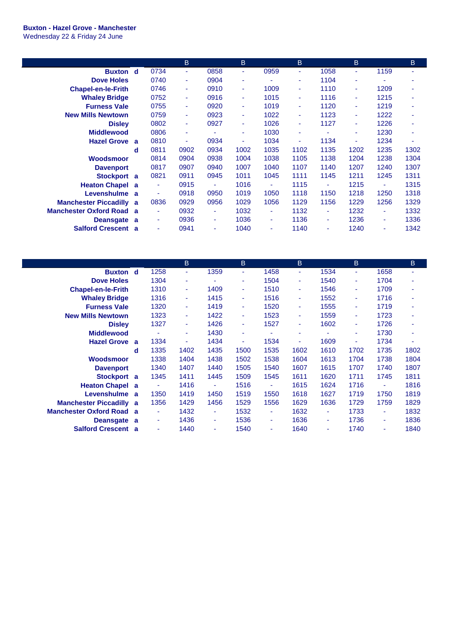## **Buxton - Hazel Grove - Manchester**

Wednesday 22 & Friday 24 June

|                                |              |      | B    |                | B    |      | B    |                | B                        |      | B    |
|--------------------------------|--------------|------|------|----------------|------|------|------|----------------|--------------------------|------|------|
| <b>Buxton</b> d                |              | 0734 | ٠    | 0858           | ٠    | 0959 | ٠    | 1058           | ٠                        | 1159 |      |
| <b>Dove Holes</b>              |              | 0740 | ٠    | 0904           | ٠    |      | ۰    | 1104           | ٠                        |      |      |
| <b>Chapel-en-le-Frith</b>      |              | 0746 | ٠    | 0910           | ٠    | 1009 | ٠    | 1110           | ٠                        | 1209 |      |
| <b>Whaley Bridge</b>           |              | 0752 | ٠    | 0916           | ٠    | 1015 | ٠    | 1116           | ٠                        | 1215 |      |
| <b>Furness Vale</b>            |              | 0755 | ٠    | 0920           | ٠    | 1019 | ÷    | 1120           | $\overline{\phantom{a}}$ | 1219 |      |
| <b>New Mills Newtown</b>       |              | 0759 | ٠    | 0923           | ٠    | 1022 | ÷    | 1123           | ٠                        | 1222 |      |
| <b>Disley</b>                  |              | 0802 | ٠    | 0927           | ٠    | 1026 | ٠    | 1127           | ٠                        | 1226 |      |
| <b>Middlewood</b>              |              | 0806 | ٠    |                | ٠    | 1030 | ٠    | ٠              | ٠                        | 1230 |      |
| <b>Hazel Grove a</b>           |              | 0810 | ٠    | 0934           | ٠    | 1034 | ٠    | 1134           | ۰                        | 1234 | ÷.   |
|                                | d            | 0811 | 0902 | 0934           | 1002 | 1035 | 1102 | 1135           | 1202                     | 1235 | 1302 |
| <b>Woodsmoor</b>               |              | 0814 | 0904 | 0938           | 1004 | 1038 | 1105 | 1138           | 1204                     | 1238 | 1304 |
| <b>Davenport</b>               |              | 0817 | 0907 | 0940           | 1007 | 1040 | 1107 | 1140           | 1207                     | 1240 | 1307 |
| <b>Stockport</b>               | a            | 0821 | 0911 | 0945           | 1011 | 1045 | 1111 | 1145           | 1211                     | 1245 | 1311 |
| <b>Heaton Chapel a</b>         |              | ٠    | 0915 | $\bar{a}$      | 1016 | ٠    | 1115 | ÷              | 1215                     | ٠    | 1315 |
| Levenshulme a                  |              | ٠    | 0918 | 0950           | 1019 | 1050 | 1118 | 1150           | 1218                     | 1250 | 1318 |
| <b>Manchester Piccadilly a</b> |              | 0836 | 0929 | 0956           | 1029 | 1056 | 1129 | 1156           | 1229                     | 1256 | 1329 |
| <b>Manchester Oxford Road</b>  | $\mathbf{a}$ | ٠    | 0932 | $\blacksquare$ | 1032 | ٠    | 1132 | $\blacksquare$ | 1232                     | ٠    | 1332 |
| Deansgate a                    |              | ٠    | 0936 | ٠              | 1036 | ٠    | 1136 | ٠              | 1236                     | ٠    | 1336 |
| <b>Salford Crescent</b>        | a            | ٠    | 0941 | ۰              | 1040 | ۰    | 1140 | ٠              | 1240                     | ۰    | 1342 |

|                               |   |      | B    |                | B.   |                          | B    |      | B    |      | B.   |
|-------------------------------|---|------|------|----------------|------|--------------------------|------|------|------|------|------|
| <b>Buxton</b> d               |   | 1258 | ٠    | 1359           | ÷    | 1458                     | ٠    | 1534 | ٠    | 1658 | ۰    |
| <b>Dove Holes</b>             |   | 1304 | ٠    |                | ٠    | 1504                     | ٠    | 1540 | ٠    | 1704 |      |
| <b>Chapel-en-le-Frith</b>     |   | 1310 | ٠    | 1409           | ٠    | 1510                     | ÷    | 1546 | ٠    | 1709 |      |
| <b>Whaley Bridge</b>          |   | 1316 | ÷    | 1415           | ٠    | 1516                     | ÷    | 1552 | ٠    | 1716 |      |
| <b>Furness Vale</b>           |   | 1320 | ٠    | 1419           | ٠    | 1520                     | ٠    | 1555 | ٠    | 1719 | ۰    |
| <b>New Mills Newtown</b>      |   | 1323 | ٠    | 1422           | ٠    | 1523                     | ٠    | 1559 | ٠    | 1723 |      |
| <b>Disley</b>                 |   | 1327 | ٠    | 1426           | ٠    | 1527                     | ٠    | 1602 | ٠    | 1726 | ä,   |
| <b>Middlewood</b>             |   | ٠    | ۰    | 1430           | ٠    | $\overline{\phantom{a}}$ | ٠    | ٠    | ٠    | 1730 | ٠    |
| <b>Hazel Grove</b>            | a | 1334 | ٠    | 1434           | ٠    | 1534                     | ٠    | 1609 | ٠    | 1734 | ٠    |
|                               | d | 1335 | 1402 | 1435           | 1500 | 1535                     | 1602 | 1610 | 1702 | 1735 | 1802 |
| <b>Woodsmoor</b>              |   | 1338 | 1404 | 1438           | 1502 | 1538                     | 1604 | 1613 | 1704 | 1738 | 1804 |
| <b>Davenport</b>              |   | 1340 | 1407 | 1440           | 1505 | 1540                     | 1607 | 1615 | 1707 | 1740 | 1807 |
| <b>Stockport</b>              | a | 1345 | 1411 | 1445           | 1509 | 1545                     | 1611 | 1620 | 1711 | 1745 | 1811 |
| <b>Heaton Chapel</b>          | a | ٠    | 1416 | $\blacksquare$ | 1516 | ٠                        | 1615 | 1624 | 1716 | ٠    | 1816 |
| Levenshulme                   | a | 1350 | 1419 | 1450           | 1519 | 1550                     | 1618 | 1627 | 1719 | 1750 | 1819 |
| <b>Manchester Piccadilly</b>  | a | 1356 | 1429 | 1456           | 1529 | 1556                     | 1629 | 1636 | 1729 | 1759 | 1829 |
| <b>Manchester Oxford Road</b> | a | ٠    | 1432 | ٠              | 1532 | ٠                        | 1632 | ٠    | 1733 | ٠    | 1832 |
| <b>Deansgate</b>              | a | ٠    | 1436 | ٠              | 1536 | ٠                        | 1636 | ٠    | 1736 | ٠    | 1836 |
| <b>Salford Crescent</b>       | a | ٠    | 1440 | ٠              | 1540 | ٠                        | 1640 | ٠    | 1740 | ٠    | 1840 |